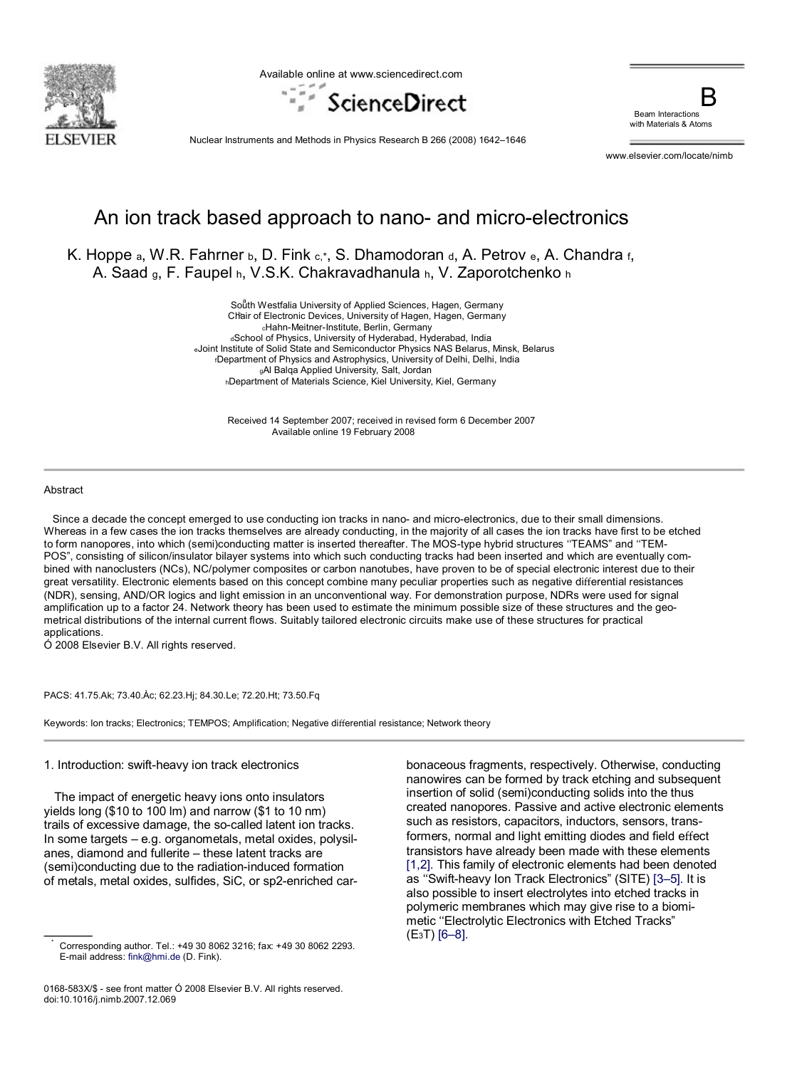

Available online at www.sciencedirect.com



Beam Interactions with Materials & Atoms

Nuclear Instruments and Methods in Physics Research B 266 (2008) 1642–1646

www.elsevier.com/locate/nimb

# An ion track based approach to nano- and micro-electronics

K. Hoppe a, W.R. Fahrner b, D. Fink c,\*, S. Dhamodoran d, A. Petrov e, A. Chandra f, A. Saad <sup>g</sup>, F. Faupel <sup>h</sup>, V.S.K. Chakravadhanula <sup>h</sup>, V. Zaporotchenko <sup>h</sup>

> Soåth Westfalia University of Applied Sciences, Hagen, Germany Chair of Electronic Devices, University of Hagen, Hagen, Germany <sup>c</sup>Hahn-Meitner-Institute, Berlin, Germany dSchool of Physics, University of Hyderabad, Hyderabad, India <sup>e</sup>Joint Institute of Solid State and Semiconductor Physics NAS Belarus, Minsk, Belarus <sup>f</sup>Department of Physics and Astrophysics, University of Delhi, Delhi, India <sup>g</sup>Al Balqa Applied University, Salt, Jordan <sup>h</sup>Department of Materials Science, Kiel University, Kiel, Germany

Received 14 September 2007; received in revised form 6 December 2007 Available online 19 February 2008

#### Abstract

\*

 Since a decade the concept emerged to use conducting ion tracks in nano- and micro-electronics, due to their small dimensions. Whereas in a few cases the ion tracks themselves are already conducting, in the majority of all cases the ion tracks have first to be etched to form nanopores, into which (semi)conducting matter is inserted thereafter. The MOS-type hybrid structures ''TEAMS" and ''TEM-POS", consisting of silicon/insulator bilayer systems into which such conducting tracks had been inserted and which are eventually combined with nanoclusters (NCs), NC/polymer composites or carbon nanotubes, have proven to be of special electronic interest due to their great versatility. Electronic elements based on this concept combine many peculiar properties such as negative differential resistances (NDR), sensing, AND/OR logics and light emission in an unconventional way. For demonstration purpose, NDRs were used for signal amplification up to a factor 24. Network theory has been used to estimate the minimum possible size of these structures and the geometrical distributions of the internal current flows. Suitably tailored electronic circuits make use of these structures for practical applications.

Ó 2008 Elsevier B.V. All rights reserved.

PACS: 41.75.Ak; 73.40.Àc; 62.23.Hj; 84.30.Le; 72.20.Ht; 73.50.Fq

Keywords: Ion tracks; Electronics; TEMPOS; Amplification; Negative differential resistance; Network theory

1. Introduction: swift-heavy ion track electronics

 The impact of energetic heavy ions onto insulators yields long (\$10 to 100 lm) and narrow (\$1 to 10 nm) trails of excessive damage, the so-called latent ion tracks. In some targets – e.g. organometals, metal oxides, polysilanes, diamond and fullerite – these latent tracks are (semi)conducting due to the radiation-induced formation of metals, metal oxides, sulfides, SiC, or sp2-enriched car-

0168-583X/\$ - see front matter Ó 2008 Elsevier B.V. All rights reserved. doi:10.1016/j.nimb.2007.12.069

bonaceous fragments, respectively. Otherwise, conducting nanowires can be formed by track etching and subsequent insertion of solid (semi)conducting solids into the thus created nanopores. Passive and active electronic elements such as resistors, capacitors, inductors, sensors, transformers, normal and light emitting diodes and field effect transistors have already been made with these elements [1,2]. This family of electronic elements had been denoted as ''Swift-heavy Ion Track Electronics" (SITE) [3–5]. It is also possible to insert electrolytes into etched tracks in polymeric membranes which may give rise to a biomimetic "Electrolytic Electronics with Etched Tracks" (E3T) [6–8].

Corresponding author. Tel.: +49 30 8062 3216; fax: +49 30 8062 2293. E-mail address: fink@hmi.de (D. Fink).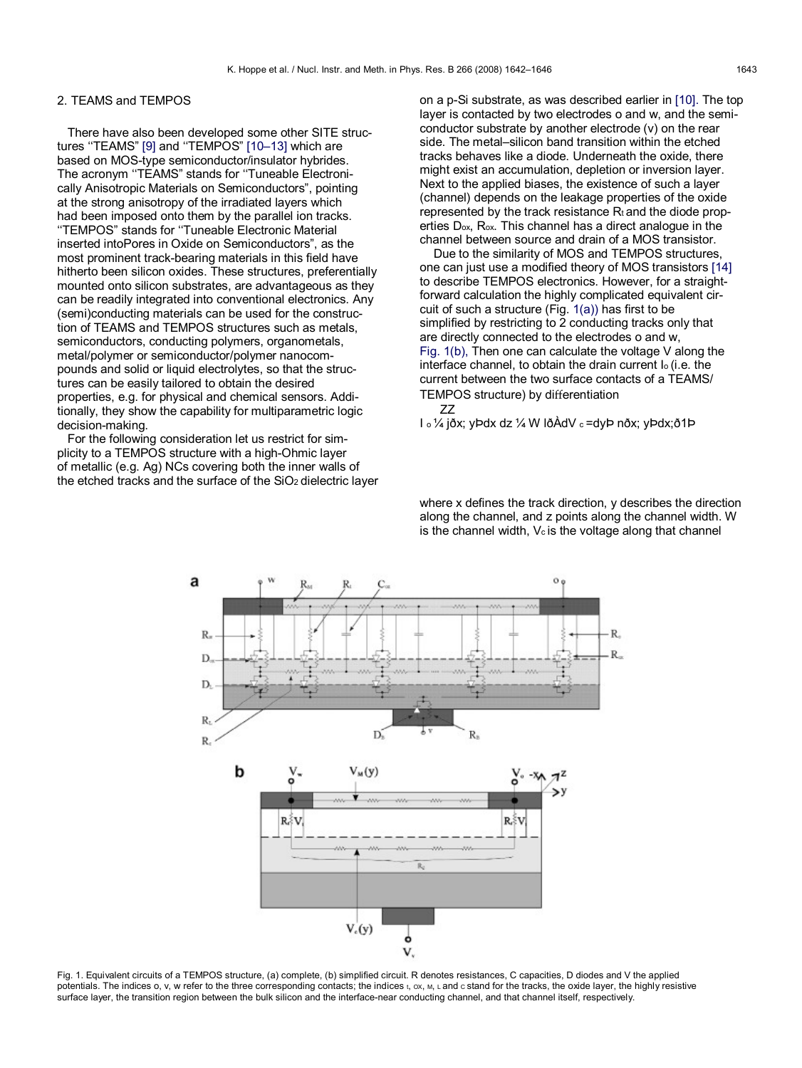# 2. TEAMS and TEMPOS

 There have also been developed some other SITE structures ''TEAMS" [9] and ''TEMPOS" [10–13] which are based on MOS-type semiconductor/insulator hybrides. The acronym ''TEAMS" stands for ''Tuneable Electronically Anisotropic Materials on Semiconductors", pointing at the strong anisotropy of the irradiated layers which had been imposed onto them by the parallel ion tracks. ''TEMPOS" stands for ''Tuneable Electronic Material inserted intoPores in Oxide on Semiconductors", as the most prominent track-bearing materials in this field have hitherto been silicon oxides. These structures, preferentially mounted onto silicon substrates, are advantageous as they can be readily integrated into conventional electronics. Any (semi)conducting materials can be used for the construction of TEAMS and TEMPOS structures such as metals, semiconductors, conducting polymers, organometals, metal/polymer or semiconductor/polymer nanocompounds and solid or liquid electrolytes, so that the structures can be easily tailored to obtain the desired properties, e.g. for physical and chemical sensors. Additionally, they show the capability for multiparametric logic decision-making.

 For the following consideration let us restrict for simplicity to a TEMPOS structure with a high-Ohmic layer of metallic (e.g. Ag) NCs covering both the inner walls of the etched tracks and the surface of the SiO<sub>2</sub> dielectric layer on a p-Si substrate, as was described earlier in [10]. The top layer is contacted by two electrodes o and w, and the semiconductor substrate by another electrode (v) on the rear side. The metal–silicon band transition within the etched tracks behaves like a diode. Underneath the oxide, there might exist an accumulation, depletion or inversion layer. Next to the applied biases, the existence of such a layer (channel) depends on the leakage properties of the oxide represented by the track resistance  $R_t$  and the diode properties Dox, Rox. This channel has a direct analogue in the channel between source and drain of a MOS transistor.

 Due to the similarity of MOS and TEMPOS structures, one can just use a modified theory of MOS transistors [14] to describe TEMPOS electronics. However, for a straightforward calculation the highly complicated equivalent circuit of such a structure (Fig. 1(a)) has first to be simplified by restricting to 2 conducting tracks only that are directly connected to the electrodes o and w, Fig. 1(b), Then one can calculate the voltage V along the interface channel, to obtain the drain current I<sup>o</sup> (i.e. the current between the two surface contacts of a TEAMS/ TEMPOS structure) by differentiation

ZZ

I <sup>o</sup> ¼ jðx; yÞdx dz ¼ W lðÀdV <sup>c</sup> =dyÞ nðx; yÞdx;ð1Þ

where x defines the track direction, y describes the direction along the channel, and z points along the channel width. W is the channel width,  $V_c$  is the voltage along that channel



Fig. 1. Equivalent circuits of a TEMPOS structure, (a) complete, (b) simplified circuit. R denotes resistances, C capacities, D diodes and V the applied potentials. The indices o, v, w refer to the three corresponding contacts; the indices t, ox, M, L and c stand for the tracks, the oxide layer, the highly resistive surface layer, the transition region between the bulk silicon and the interface-near conducting channel, and that channel itself, respectively.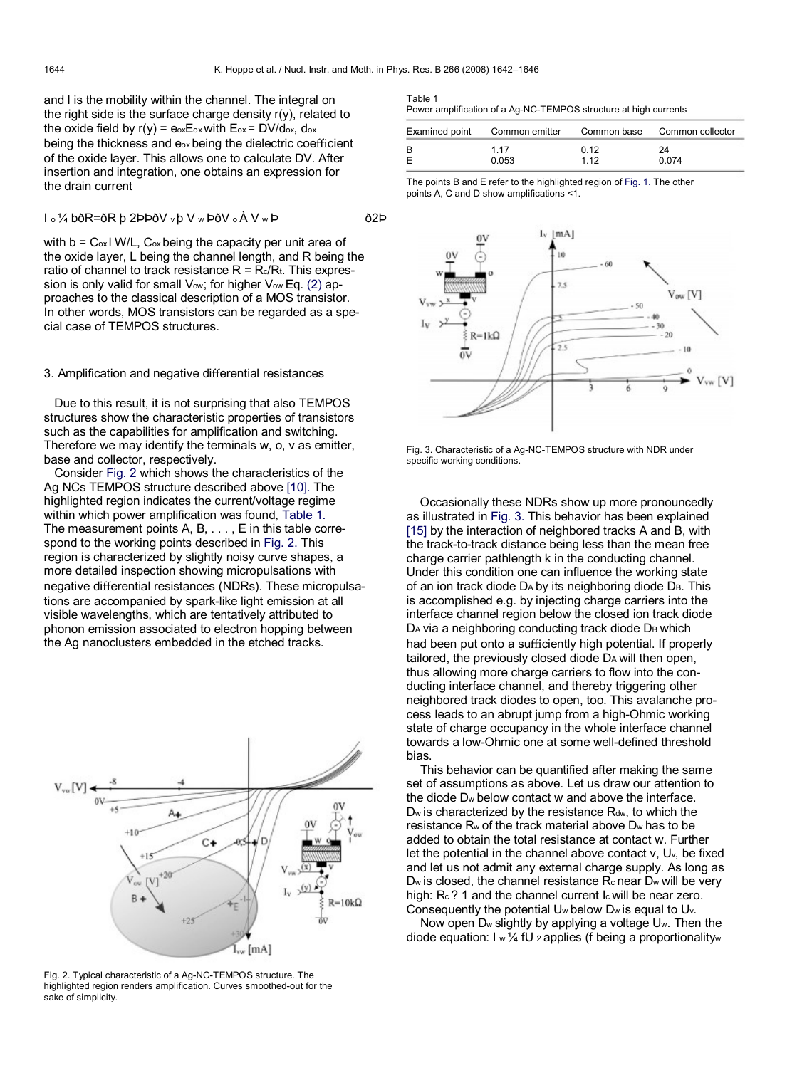and l is the mobility within the channel. The integral on the right side is the surface charge density  $r(y)$ , related to the oxide field by  $r(y) = e_0 \times E_0 x$  with  $E_0 \times$  = DV/dox, dox being the thickness and eox being the dielectric coefficient of the oxide layer. This allows one to calculate DV. After insertion and integration, one obtains an expression for the drain current

$$
1 \circ \frac{1}{4} \text{ b} \delta \text{R} = \delta \text{R} \text{ b} 2 \text{ b} \text{ b} \delta \text{V} \cdot \text{b} \text{ V} \cdot \text{b} \delta \text{V} \cdot \text{b} \text{ A} \text{ V} \cdot \text{b}
$$

with  $b = C_{ox}$  W/L,  $C_{ox}$  being the capacity per unit area of the oxide layer, L being the channel length, and R being the ratio of channel to track resistance  $R = R_c/R_t$ . This expression is only valid for small Vow; for higher Vow Eq. (2) approaches to the classical description of a MOS transistor. In other words, MOS transistors can be regarded as a special case of TEMPOS structures.

## 3. Amplification and negative differential resistances

 Due to this result, it is not surprising that also TEMPOS structures show the characteristic properties of transistors such as the capabilities for amplification and switching. Therefore we may identify the terminals w, o, v as emitter, base and collector, respectively.

 Consider Fig. 2 which shows the characteristics of the Ag NCs TEMPOS structure described above [10]. The highlighted region indicates the current/voltage regime within which power amplification was found, Table 1. The measurement points A, B, . . . , E in this table correspond to the working points described in Fig. 2. This region is characterized by slightly noisy curve shapes, a more detailed inspection showing micropulsations with negative differential resistances (NDRs). These micropulsations are accompanied by spark-like light emission at all visible wavelengths, which are tentatively attributed to phonon emission associated to electron hopping between the Ag nanoclusters embedded in the etched tracks.



Fig. 2. Typical characteristic of a Ag-NC-TEMPOS structure. The highlighted region renders amplification. Curves smoothed-out for the sake of simplicity.

| Table 1                                                          |  |
|------------------------------------------------------------------|--|
| Power amplification of a Ag-NC-TEMPOS structure at high currents |  |

|   | Examined point Common emitter Common base Common collector |       |       |
|---|------------------------------------------------------------|-------|-------|
| B | 1 17                                                       | 0.12  | 24    |
| E | 0.053                                                      | 1 1 2 | 0.074 |

The points B and E refer to the highlighted region of Fig. 1. The other points A, C and D show amplifications <1.



Fig. 3. Characteristic of a Ag-NC-TEMPOS structure with NDR under specific working conditions.

 Occasionally these NDRs show up more pronouncedly as illustrated in Fig. 3. This behavior has been explained [15] by the interaction of neighbored tracks A and B, with the track-to-track distance being less than the mean free charge carrier pathlength k in the conducting channel. Under this condition one can influence the working state of an ion track diode DA by its neighboring diode DB. This is accomplished e.g. by injecting charge carriers into the interface channel region below the closed ion track diode DA via a neighboring conducting track diode DB which had been put onto a sufficiently high potential. If properly tailored, the previously closed diode D<sup>A</sup> will then open, thus allowing more charge carriers to flow into the conducting interface channel, and thereby triggering other neighbored track diodes to open, too. This avalanche process leads to an abrupt jump from a high-Ohmic working state of charge occupancy in the whole interface channel towards a low-Ohmic one at some well-defined threshold bias.

 This behavior can be quantified after making the same set of assumptions as above. Let us draw our attention to the diode D<sup>w</sup> below contact w and above the interface.  $D_w$  is characterized by the resistance  $R_{dw}$ , to which the resistance R<sup>w</sup> of the track material above D<sup>w</sup> has to be added to obtain the total resistance at contact w. Further let the potential in the channel above contact v, Uv, be fixed and let us not admit any external charge supply. As long as  $D<sub>w</sub>$  is closed, the channel resistance  $R<sub>c</sub>$  near  $D<sub>w</sub>$  will be very high: Rc ? 1 and the channel current Ic will be near zero. Consequently the potential U<sup>w</sup> below D<sup>w</sup> is equal to Uv.

 Now open D<sup>w</sup> slightly by applying a voltage Uw. Then the diode equation:  $I w \frac{1}{4} fU$  2 applies (f being a proportionalityw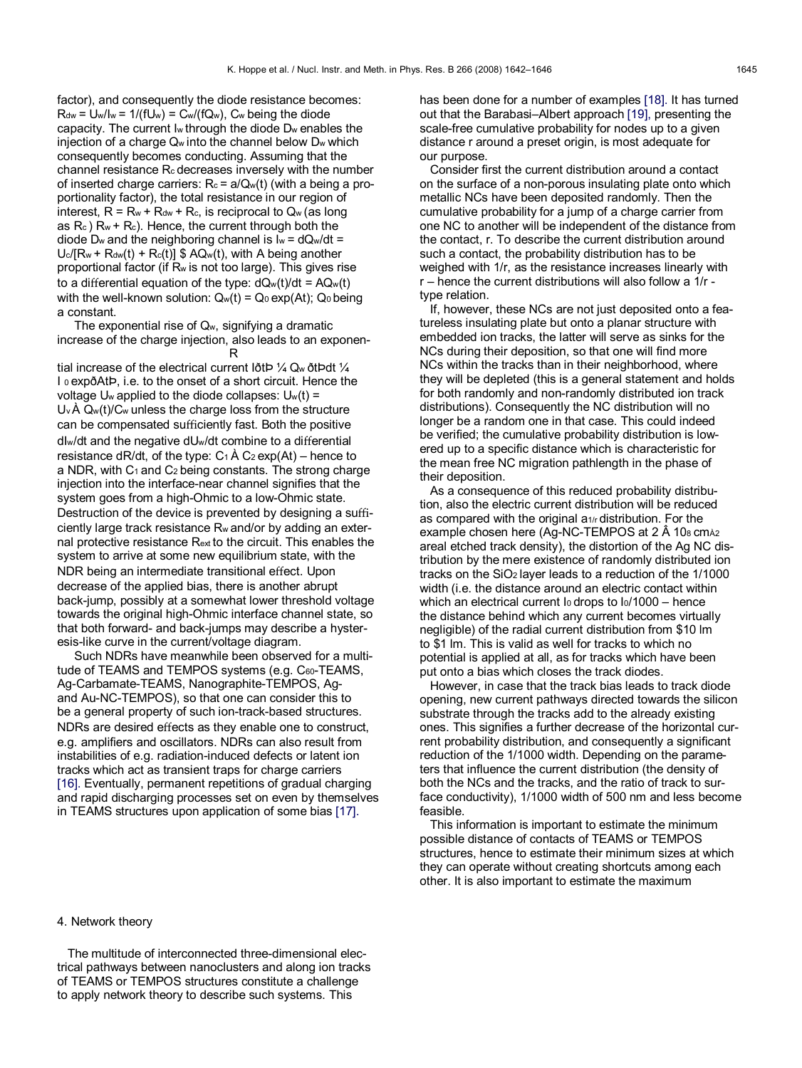factor), and consequently the diode resistance becomes:  $R_{dw} = U_w / I_w = 1 / (fU_w) = C_w / (fQ_w)$ , Cw being the diode capacity. The current I<sup>w</sup> through the diode D<sup>w</sup> enables the injection of a charge Q<sup>w</sup> into the channel below D<sup>w</sup> which consequently becomes conducting. Assuming that the channel resistance R<sup>c</sup> decreases inversely with the number of inserted charge carriers:  $R_c = a/Q_w(t)$  (with a being a proportionality factor), the total resistance in our region of interest,  $R = R_w + R_{dw} + R_c$ , is reciprocal to  $Q_w$  (as long as  $R_c$ )  $R_w + R_c$ ). Hence, the current through both the diode D<sub>w</sub> and the neighboring channel is  $I_w = dQ_w/dt =$  $U_c/[R_w + R_{dw}(t) + R_c(t)]$  \$ AQ<sub>w</sub>(t), with A being another proportional factor (if R<sup>w</sup> is not too large). This gives rise to a differential equation of the type:  $dQ_w(t)/dt = AQ_w(t)$ with the well-known solution:  $Q_w(t) = Q_0 \exp(At)$ ;  $Q_0$  being a constant.

 The exponential rise of Qw, signifying a dramatic increase of the charge injection, also leads to an exponen-

**Representative Contract Property** tial increase of the electrical current IðtÞ ¼ Q<sup>w</sup> ðtÞdt ¼ I <sup>0</sup> expðAtÞ, i.e. to the onset of a short circuit. Hence the voltage U<sub>w</sub> applied to the diode collapses:  $U_w(t)$  =  $U_{\rm v}$  Å  $Q_{\rm w}(t)$ / $C_{\rm w}$  unless the charge loss from the structure can be compensated sufficiently fast. Both the positive dIw/dt and the negative dUw/dt combine to a differential resistance dR/dt, of the type:  $C_1$   $\hat{A}$   $C_2$  exp(At) – hence to a NDR, with  $C_1$  and  $C_2$  being constants. The strong charge injection into the interface-near channel signifies that the system goes from a high-Ohmic to a low-Ohmic state. Destruction of the device is prevented by designing a sufficiently large track resistance R<sup>w</sup> and/or by adding an external protective resistance Rext to the circuit. This enables the system to arrive at some new equilibrium state, with the NDR being an intermediate transitional effect. Upon decrease of the applied bias, there is another abrupt back-jump, possibly at a somewhat lower threshold voltage towards the original high-Ohmic interface channel state, so that both forward- and back-jumps may describe a hysteresis-like curve in the current/voltage diagram.

 Such NDRs have meanwhile been observed for a multitude of TEAMS and TEMPOS systems (e.g. C60-TEAMS, Ag-Carbamate-TEAMS, Nanographite-TEMPOS, Agand Au-NC-TEMPOS), so that one can consider this to be a general property of such ion-track-based structures. NDRs are desired effects as they enable one to construct, e.g. amplifiers and oscillators. NDRs can also result from instabilities of e.g. radiation-induced defects or latent ion tracks which act as transient traps for charge carriers [16]. Eventually, permanent repetitions of gradual charging and rapid discharging processes set on even by themselves in TEAMS structures upon application of some bias [17].

has been done for a number of examples [18]. It has turned out that the Barabasi–Albert approach [19], presenting the scale-free cumulative probability for nodes up to a given distance r around a preset origin, is most adequate for our purpose.

 Consider first the current distribution around a contact on the surface of a non-porous insulating plate onto which metallic NCs have been deposited randomly. Then the cumulative probability for a jump of a charge carrier from one NC to another will be independent of the distance from the contact, r. To describe the current distribution around such a contact, the probability distribution has to be weighed with 1/r, as the resistance increases linearly with r – hence the current distributions will also follow a 1/r type relation.

 If, however, these NCs are not just deposited onto a featureless insulating plate but onto a planar structure with embedded ion tracks, the latter will serve as sinks for the NCs during their deposition, so that one will find more NCs within the tracks than in their neighborhood, where they will be depleted (this is a general statement and holds for both randomly and non-randomly distributed ion track distributions). Consequently the NC distribution will no longer be a random one in that case. This could indeed be verified; the cumulative probability distribution is lowered up to a specific distance which is characteristic for the mean free NC migration pathlength in the phase of their deposition.

 As a consequence of this reduced probability distribution, also the electric current distribution will be reduced as compared with the original a<sub>1/r</sub> distribution. For the example chosen here (Ag-NC-TEMPOS at 2 Å 108 cm $\lambda$ 2 areal etched track density), the distortion of the Ag NC distribution by the mere existence of randomly distributed ion tracks on the SiO<sup>2</sup> layer leads to a reduction of the 1/1000 width (i.e. the distance around an electric contact within which an electrical current Io drops to Io/1000 – hence the distance behind which any current becomes virtually negligible) of the radial current distribution from \$10 lm to \$1 lm. This is valid as well for tracks to which no potential is applied at all, as for tracks which have been put onto a bias which closes the track diodes.

 However, in case that the track bias leads to track diode opening, new current pathways directed towards the silicon substrate through the tracks add to the already existing ones. This signifies a further decrease of the horizontal current probability distribution, and consequently a significant reduction of the 1/1000 width. Depending on the parameters that influence the current distribution (the density of both the NCs and the tracks, and the ratio of track to surface conductivity), 1/1000 width of 500 nm and less become feasible.

 This information is important to estimate the minimum possible distance of contacts of TEAMS or TEMPOS structures, hence to estimate their minimum sizes at which they can operate without creating shortcuts among each other. It is also important to estimate the maximum

### 4. Network theory

 The multitude of interconnected three-dimensional electrical pathways between nanoclusters and along ion tracks of TEAMS or TEMPOS structures constitute a challenge to apply network theory to describe such systems. This